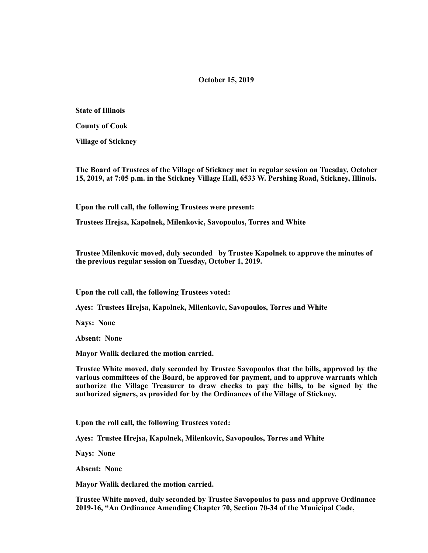## **October 15, 2019**

**State of Illinois** 

**County of Cook** 

**Village of Stickney** 

**The Board of Trustees of the Village of Stickney met in regular session on Tuesday, October 15, 2019, at 7:05 p.m. in the Stickney Village Hall, 6533 W. Pershing Road, Stickney, Illinois.** 

**Upon the roll call, the following Trustees were present:** 

**Trustees Hrejsa, Kapolnek, Milenkovic, Savopoulos, Torres and White** 

**Trustee Milenkovic moved, duly seconded by Trustee Kapolnek to approve the minutes of the previous regular session on Tuesday, October 1, 2019.** 

**Upon the roll call, the following Trustees voted:** 

**Ayes: Trustees Hrejsa, Kapolnek, Milenkovic, Savopoulos, Torres and White** 

**Nays: None** 

**Absent: None** 

**Mayor Walik declared the motion carried.** 

**Trustee White moved, duly seconded by Trustee Savopoulos that the bills, approved by the various committees of the Board, be approved for payment, and to approve warrants which authorize the Village Treasurer to draw checks to pay the bills, to be signed by the authorized signers, as provided for by the Ordinances of the Village of Stickney.** 

**Upon the roll call, the following Trustees voted:** 

**Ayes: Trustee Hrejsa, Kapolnek, Milenkovic, Savopoulos, Torres and White** 

**Nays: None** 

**Absent: None** 

**Mayor Walik declared the motion carried.** 

**Trustee White moved, duly seconded by Trustee Savopoulos to pass and approve Ordinance 2019-16, "An Ordinance Amending Chapter 70, Section 70-34 of the Municipal Code,**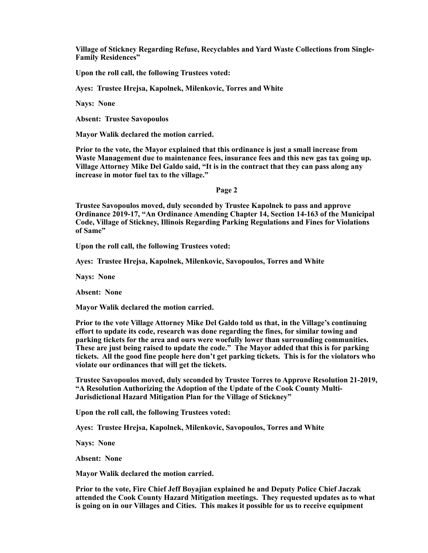**Village of Stickney Regarding Refuse, Recyclables and Yard Waste Collections from Single-Family Residences"** 

**Upon the roll call, the following Trustees voted:** 

**Ayes: Trustee Hrejsa, Kapolnek, Milenkovic, Torres and White** 

**Nays: None** 

**Absent: Trustee Savopoulos** 

**Mayor Walik declared the motion carried.** 

**Prior to the vote, the Mayor explained that this ordinance is just a small increase from Waste Management due to maintenance fees, insurance fees and this new gas tax going up. Village Attorney Mike Del Galdo said, "It is in the contract that they can pass along any increase in motor fuel tax to the village."** 

#### **Page 2**

**Trustee Savopoulos moved, duly seconded by Trustee Kapolnek to pass and approve Ordinance 2019-17, "An Ordinance Amending Chapter 14, Section 14-163 of the Municipal Code, Village of Stickney, Illinois Regarding Parking Regulations and Fines for Violations of Same"** 

**Upon the roll call, the following Trustees voted:** 

**Ayes: Trustee Hrejsa, Kapolnek, Milenkovic, Savopoulos, Torres and White** 

**Nays: None** 

**Absent: None** 

**Mayor Walik declared the motion carried.** 

**Prior to the vote Village Attorney Mike Del Galdo told us that, in the Village's continuing effort to update its code, research was done regarding the fines, for similar towing and parking tickets for the area and ours were woefully lower than surrounding communities. These are just being raised to update the code." The Mayor added that this is for parking tickets. All the good fine people here don't get parking tickets. This is for the violators who violate our ordinances that will get the tickets.** 

**Trustee Savopoulos moved, duly seconded by Trustee Torres to Approve Resolution 21-2019, "A Resolution Authorizing the Adoption of the Update of the Cook County Multi-Jurisdictional Hazard Mitigation Plan for the Village of Stickney"** 

**Upon the roll call, the following Trustees voted:** 

**Ayes: Trustee Hrejsa, Kapolnek, Milenkovic, Savopoulos, Torres and White** 

**Nays: None** 

**Absent: None** 

**Mayor Walik declared the motion carried.** 

**Prior to the vote, Fire Chief Jeff Boyajian explained he and Deputy Police Chief Jaczak attended the Cook County Hazard Mitigation meetings. They requested updates as to what is going on in our Villages and Cities. This makes it possible for us to receive equipment**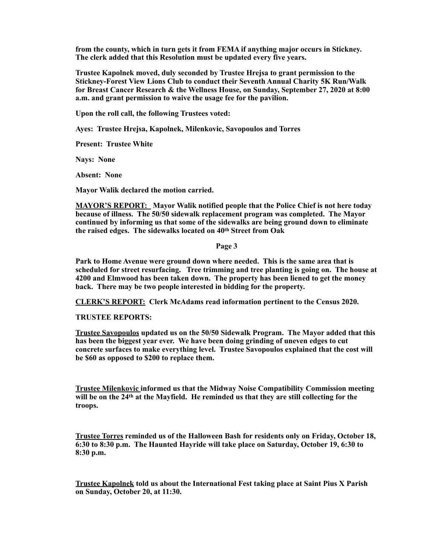**from the county, which in turn gets it from FEMA if anything major occurs in Stickney. The clerk added that this Resolution must be updated every five years.** 

**Trustee Kapolnek moved, duly seconded by Trustee Hrejsa to grant permission to the Stickney-Forest View Lions Club to conduct their Seventh Annual Charity 5K Run/Walk for Breast Cancer Research & the Wellness House, on Sunday, September 27, 2020 at 8:00 a.m. and grant permission to waive the usage fee for the pavilion.** 

**Upon the roll call, the following Trustees voted:** 

**Ayes: Trustee Hrejsa, Kapolnek, Milenkovic, Savopoulos and Torres** 

**Present: Trustee White** 

**Nays: None** 

**Absent: None** 

**Mayor Walik declared the motion carried.** 

**MAYOR'S REPORT: Mayor Walik notified people that the Police Chief is not here today because of illness. The 50/50 sidewalk replacement program was completed. The Mayor continued by informing us that some of the sidewalks are being ground down to eliminate the raised edges. The sidewalks located on 40th Street from Oak** 

## **Page 3**

**Park to Home Avenue were ground down where needed. This is the same area that is scheduled for street resurfacing. Tree trimming and tree planting is going on. The house at 4200 and Elmwood has been taken down. The property has been liened to get the money back. There may be two people interested in bidding for the property.** 

**CLERK'S REPORT: Clerk McAdams read information pertinent to the Census 2020.** 

**TRUSTEE REPORTS:** 

**Trustee Savopoulos updated us on the 50/50 Sidewalk Program. The Mayor added that this has been the biggest year ever. We have been doing grinding of uneven edges to cut concrete surfaces to make everything level. Trustee Savopoulos explained that the cost will be \$60 as opposed to \$200 to replace them.** 

**Trustee Milenkovic informed us that the Midway Noise Compatibility Commission meeting will be on the 24th at the Mayfield. He reminded us that they are still collecting for the troops.** 

**Trustee Torres reminded us of the Halloween Bash for residents only on Friday, October 18, 6:30 to 8:30 p.m. The Haunted Hayride will take place on Saturday, October 19, 6:30 to 8:30 p.m.** 

**Trustee Kapolnek told us about the International Fest taking place at Saint Pius X Parish on Sunday, October 20, at 11:30.**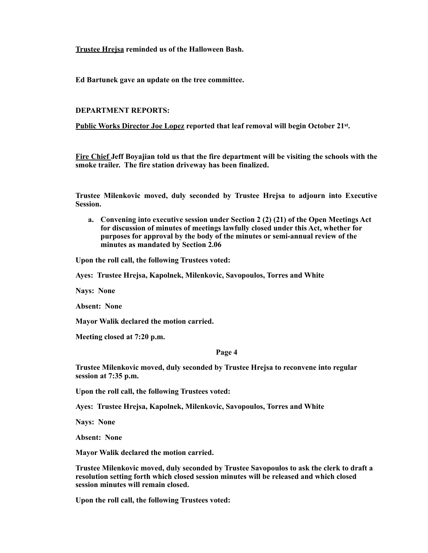**Trustee Hrejsa reminded us of the Halloween Bash.** 

**Ed Bartunek gave an update on the tree committee.** 

# **DEPARTMENT REPORTS:**

**Public Works Director Joe Lopez reported that leaf removal will begin October 21st.** 

**Fire Chief Jeff Boyajian told us that the fire department will be visiting the schools with the smoke trailer. The fire station driveway has been finalized.** 

**Trustee Milenkovic moved, duly seconded by Trustee Hrejsa to adjourn into Executive Session.** 

**a. Convening into executive session under Section 2 (2) (21) of the Open Meetings Act for discussion of minutes of meetings lawfully closed under this Act, whether for purposes for approval by the body of the minutes or semi-annual review of the minutes as mandated by Section 2.06** 

**Upon the roll call, the following Trustees voted:** 

**Ayes: Trustee Hrejsa, Kapolnek, Milenkovic, Savopoulos, Torres and White** 

**Nays: None** 

**Absent: None** 

**Mayor Walik declared the motion carried.** 

**Meeting closed at 7:20 p.m.** 

#### **Page 4**

**Trustee Milenkovic moved, duly seconded by Trustee Hrejsa to reconvene into regular session at 7:35 p.m.** 

**Upon the roll call, the following Trustees voted:** 

**Ayes: Trustee Hrejsa, Kapolnek, Milenkovic, Savopoulos, Torres and White** 

**Nays: None** 

**Absent: None** 

**Mayor Walik declared the motion carried.** 

**Trustee Milenkovic moved, duly seconded by Trustee Savopoulos to ask the clerk to draft a resolution setting forth which closed session minutes will be released and which closed session minutes will remain closed.** 

**Upon the roll call, the following Trustees voted:**